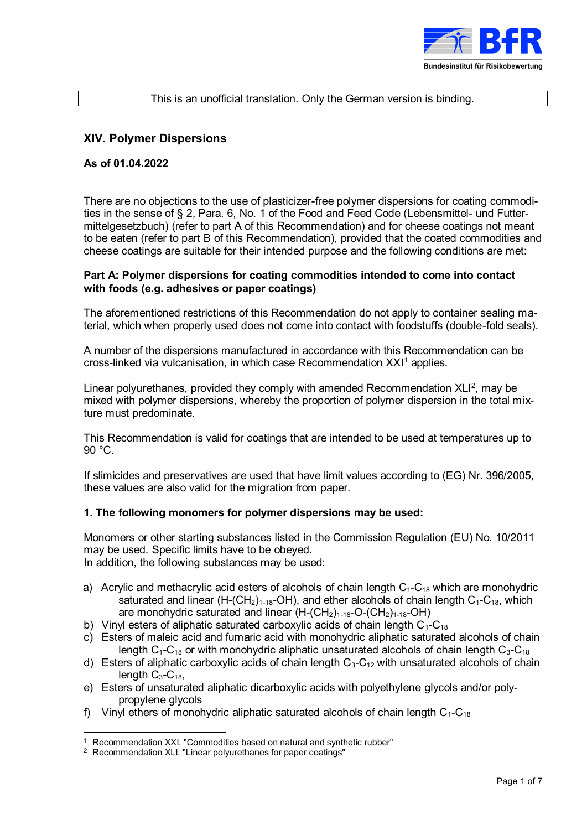

#### This is an unofficial translation. Only the German version is binding.

## **XIV. Polymer Dispersions**

## **As of 01.04.2022**

There are no objections to the use of plasticizer-free polymer dispersions for coating commodities in the sense of § 2, Para. 6, No. 1 of the Food and Feed Code (Lebensmittel- und Futtermittelgesetzbuch) (refer to part A of this Recommendation) and for cheese coatings not meant to be eaten (refer to part B of this Recommendation), provided that the coated commodities and cheese coatings are suitable for their intended purpose and the following conditions are met:

## **Part A: Polymer dispersions for coating commodities intended to come into contact with foods (e.g. adhesives or paper coatings)**

The aforementioned restrictions of this Recommendation do not apply to container sealing material, which when properly used does not come into contact with foodstuffs (double-fold seals).

A number of the dispersions manufactured in accordance with this Recommendation can be cross-linked via vulcanisation, in which case Recommendation XXI<sup>1</sup> applies.

Linear polyurethanes, provided they comply with amended Recommendation  $XLI<sup>2</sup>$ , may be mixed with polymer dispersions, whereby the proportion of polymer dispersion in the total mixture must predominate.

This Recommendation is valid for coatings that are intended to be used at temperatures up to 90 °C.

If slimicides and preservatives are used that have limit values according to (EG) Nr. 396/2005, these values are also valid for the migration from paper.

## **1. The following monomers for polymer dispersions may be used:**

Monomers or other starting substances listed in the Commission Regulation (EU) No. 10/2011 may be used. Specific limits have to be obeyed. In addition, the following substances may be used:

- a) Acrylic and methacrylic acid esters of alcohols of chain length  $C_1$ - $C_{18}$  which are monohydric saturated and linear (H-(CH<sub>2</sub>)<sub>1-18</sub>-OH), and ether alcohols of chain length  $C_1-C_{18}$ , which are monohydric saturated and linear  $(H-(CH<sub>2</sub>)<sub>1-18</sub>-O-(CH<sub>2</sub>)<sub>1-18</sub>-OH)$
- b) Vinyl esters of aliphatic saturated carboxylic acids of chain length  $C_1-C_{18}$
- c) Esters of maleic acid and fumaric acid with monohydric aliphatic saturated alcohols of chain length  $C_1$ -C<sub>18</sub> or with monohydric aliphatic unsaturated alcohols of chain length  $C_3$ -C<sub>18</sub>
- d) Esters of aliphatic carboxylic acids of chain length  $C_3-C_{12}$  with unsaturated alcohols of chain length  $C_3$ - $C_{18}$ ,
- e) Esters of unsaturated aliphatic dicarboxylic acids with polyethylene glycols and/or polypropylene glycols
- f) Vinyl ethers of monohydric aliphatic saturated alcohols of chain length  $C_1-C_{18}$

 $\overline{a}$ 

<sup>&</sup>lt;sup>1</sup> Recommendation XXI. "Commodities based on natural and synthetic rubber"

<sup>2</sup> Recommendation XLI. "Linear polyurethanes for paper coatings"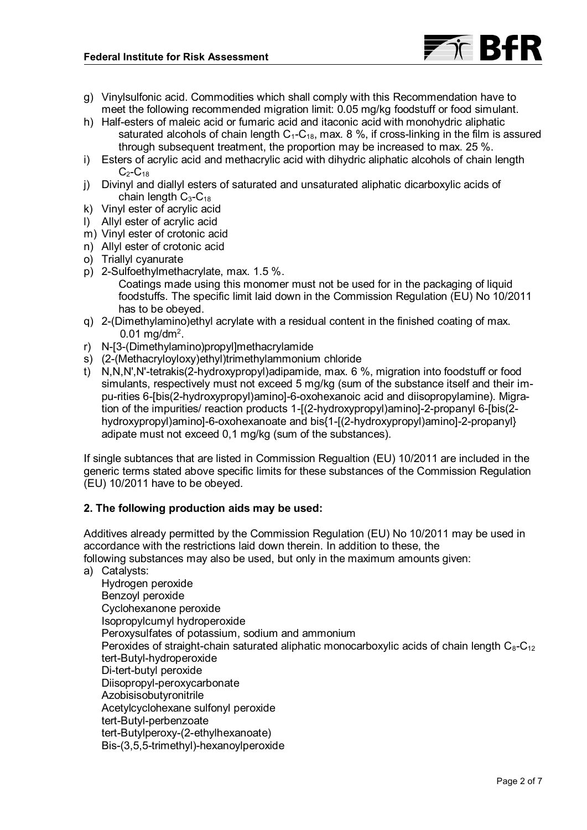

- g) Vinylsulfonic acid. Commodities which shall comply with this Recommendation have to meet the following recommended migration limit: 0.05 mg/kg foodstuff or food simulant.
- h) Half-esters of maleic acid or fumaric acid and itaconic acid with monohydric aliphatic saturated alcohols of chain length  $C_1-C_{18}$ , max. 8 %, if cross-linking in the film is assured through subsequent treatment, the proportion may be increased to max. 25 %.
- i) Esters of acrylic acid and methacrylic acid with dihydric aliphatic alcohols of chain length  $C<sub>2</sub>-C<sub>18</sub>$
- j) Divinyl and diallyl esters of saturated and unsaturated aliphatic dicarboxylic acids of chain length  $C_3$ - $C_{18}$
- k) Vinyl ester of acrylic acid
- l) Allyl ester of acrylic acid
- m) Vinyl ester of crotonic acid
- n) Allyl ester of crotonic acid
- o) Triallyl cyanurate
- p) 2-Sulfoethylmethacrylate, max. 1.5 %.
	- Coatings made using this monomer must not be used for in the packaging of liquid foodstuffs. The specific limit laid down in the Commission Regulation (EU) No 10/2011 has to be obeyed.
- q) 2-(Dimethylamino)ethyl acrylate with a residual content in the finished coating of max.  $0.01$  mg/dm<sup>2</sup>.
- r) N-[3-(Dimethylamino)propyl]methacrylamide
- s) (2-(Methacryloyloxy)ethyl)trimethylammonium chloride
- t) N,N,N',N'-tetrakis(2-hydroxypropyl)adipamide, max. 6 %, migration into foodstuff or food simulants, respectively must not exceed 5 mg/kg (sum of the substance itself and their impu-rities 6-[bis(2-hydroxypropyl)amino]-6-oxohexanoic acid and diisopropylamine). Migration of the impurities/ reaction products 1-[(2-hydroxypropyl)amino]-2-propanyl 6-[bis(2 hydroxypropyl)amino]-6-oxohexanoate and bis{1-[(2-hydroxypropyl)amino]-2-propanyl} adipate must not exceed 0,1 mg/kg (sum of the substances).

If single subtances that are listed in Commission Regualtion (EU) 10/2011 are included in the generic terms stated above specific limits for these substances of the Commission Regulation (EU) 10/2011 have to be obeyed.

# **2. The following production aids may be used:**

Additives already permitted by the Commission Regulation (EU) No 10/2011 may be used in accordance with the restrictions laid down therein. In addition to these, the following substances may also be used, but only in the maximum amounts given:

a) Catalysts:

Hydrogen peroxide Benzoyl peroxide Cyclohexanone peroxide Isopropylcumyl hydroperoxide Peroxysulfates of potassium, sodium and ammonium Peroxides of straight-chain saturated aliphatic monocarboxylic acids of chain length  $C_8-C_{12}$ tert-Butyl-hydroperoxide Di-tert-butyl peroxide Diisopropyl-peroxycarbonate Azobisisobutyronitrile Acetylcyclohexane sulfonyl peroxide tert-Butyl-perbenzoate tert-Butylperoxy-(2-ethylhexanoate) Bis-(3,5,5-trimethyl)-hexanoylperoxide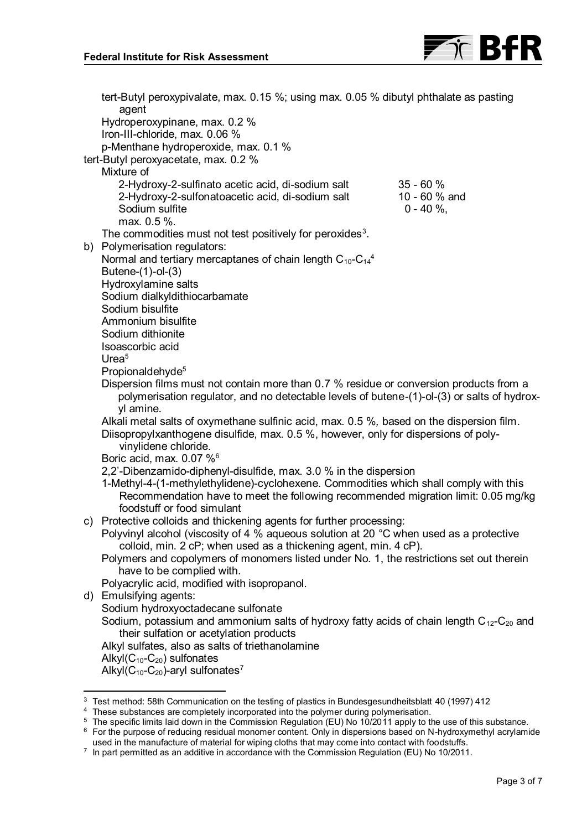<span id="page-2-2"></span>

<span id="page-2-0"></span>tert-Butyl peroxypivalate, max. 0.15 %; using max. 0.05 % dibutyl phthalate as pasting agent Hydroperoxypinane, max. 0.2 % Iron-III-chloride, max. 0.06 % p-Menthane hydroperoxide, max. 0.1 % tert-Butyl peroxyacetate, max. 0.2 % Mixture of 2-Hydroxy-2-sulfinato acetic acid, di-sodium salt 35 - 60 % 2-Hydroxy-2-sulfonatoacetic acid, di-sodium salt 10 - 60 % and 30 Sodium sulfite Sodium sulfite max. 0.5 %. The commodities must not test positively for peroxides $^3$ . b) Polymerisation regulators: Normal and tertiary mercaptanes of chain length C $_{10}$ -C $_{14}^{\it 4}$ Butene-(1)-ol-(3) Hydroxylamine salts Sodium dialkyldithiocarbamate Sodium bisulfite Ammonium bisulfite Sodium dithionite Isoascorbic acid Urea<sup>5</sup> Propionald[e](#page-2-0)hyde<sup>5</sup> Dispersion films must not contain more than 0.7 % residue or conversion products from a polymerisation regulator, and no detectable levels of butene-(1)-ol-(3) or salts of hydroxyl amine. Alkali metal salts of oxymethane sulfinic acid, max. 0.5 %*,* based on the dispersion film. Diisopropylxanthogene disulfide, max. 0.5 %, however, only for dispersions of polyvinylidene chloride. Boric acid, max. 0.07 %<sup>6</sup> 2,2'-Dibenzamido-diphenyl-disulfide, max. 3.0 % in the dispersion 1-Methyl-4-(1-methylethylidene)-cyclohexene. Commodities which shall comply with this Recommendation have to meet the following recommended migration limit: 0.05 mg/kg foodstuff or food simulant c) Protective colloids and thickening agents for further processing: Polyvinyl alcohol (viscosity of 4 % aqueous solution at 20 °C when used as a protective colloid, min. 2 cP; when used as a thickening agent, min. 4 cP). Polymers and copolymers of monomers listed under No. 1, the restrictions set out therein have to be complied with. Polyacrylic acid, modified with isopropanol. d) Emulsifying agents: Sodium hydroxyoctadecane sulfonate Sodium, potassium and ammonium salts of hydroxy fatty acids of chain length  $C_{12}$ -C<sub>20</sub> and their sulfation or acetylation products Alkyl sulfates, also as salts of triethanolamine Alkyl $(C_{10}$ - $C_{20})$  sulfonates Alkyl $(C_{10}$ - $C_{20}$ )-aryl sulfonates<sup>7</sup>  $\overline{a}$ <sup>3</sup> Test method: 58th Communication on the testing of plastics in Bundesgesundheitsblatt 40 (1997) 412 <sup>4</sup> These substances are completely incorporated into the polymer during polymerisation.

<span id="page-2-1"></span><sup>5</sup> The specific limits laid down in the Commission Regulation (EU) No 10/2011 apply to the use of this substance. <sup>6</sup> For the purpose of reducing residual monomer content. Only in dispersions based on N-hydroxymethyl acrylamide

used in the manufacture of material for wiping cloths that may come into contact with foodstuffs.

 $\textsuperscript{7}$  In part permitted as an additive in accordance with the Commission Regulation (EU) No 10/2011.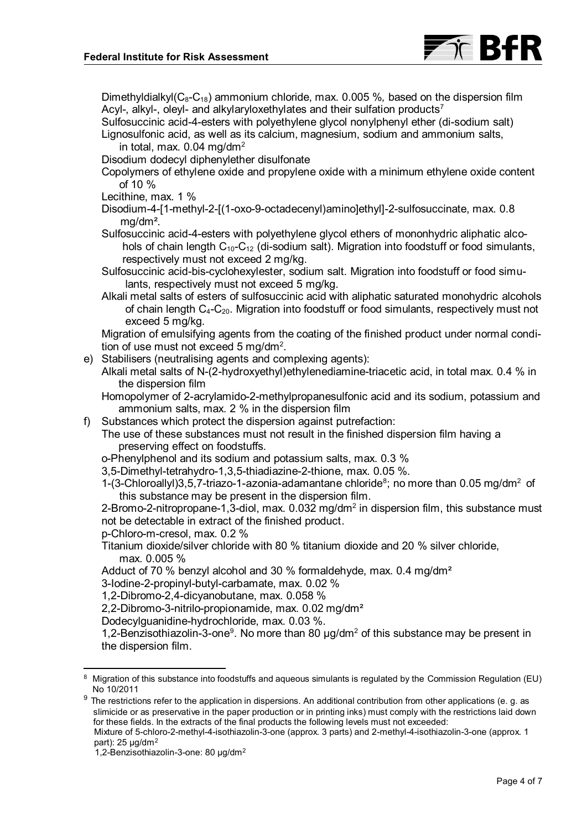

Dimethyldialkyl( $C_8-C_{18}$ ) ammonium chloride, max. 0.005 %, based on the dispersion film Acyl-, alkyl-, oleyl- and alkylaryloxethylate[s](#page-2-1) and their sulfation products<sup>7</sup>

Sulfosuccinic acid-4-esters with polyethylene glycol nonylphenyl ether (di-sodium salt) Lignosulfonic acid, as well as its calcium, magnesium, sodium and ammonium salts, in total, max. 0.04 mg/dm<sup>2</sup>

Disodium dodecyl diphenylether disulfonate

Copolymers of ethylene oxide and propylene oxide with a minimum ethylene oxide content of 10 %

Lecithine, max. 1 %

Disodium-4-[1-methyl-2-[(1-oxo-9-octadecenyl)amino]ethyl]-2-sulfosuccinate, max. 0.8 mg/dm².

Sulfosuccinic acid-4-esters with polyethylene glycol ethers of mononhydric aliphatic alcohols of chain length  $C_{10}$ - $C_{12}$  (di-sodium salt). Migration into foodstuff or food simulants, respectively must not exceed 2 mg/kg.

Sulfosuccinic acid-bis-cyclohexylester, sodium salt. Migration into foodstuff or food simulants, respectively must not exceed 5 mg/kg.

Alkali metal salts of esters of sulfosuccinic acid with aliphatic saturated monohydric alcohols of chain length  $C_4$ - $C_{20}$ . Migration into foodstuff or food simulants, respectively must not exceed 5 mg/kg.

Migration of emulsifying agents from the coating of the finished product under normal condition of use must not exceed 5 mg/dm<sup>2</sup> .

- e) Stabilisers (neutralising agents and complexing agents):
	- Alkali metal salts of N-(2-hydroxyethyl)ethylenediamine-triacetic acid, in total max. 0.4 % in the dispersion film
	- Homopolymer of 2-acrylamido-2-methylpropanesulfonic acid and its sodium, potassium and ammonium salts, max. 2 % in the dispersion film
- f) Substances which protect the dispersion against putrefaction:

The use of these substances must not result in the finished dispersion film having a preserving effect on foodstuffs.

o-Phenylphenol and its sodium and potassium salts, max. 0.3 %

3,5-Dimethyl-tetrahydro-1,3,5-thiadiazine-2-thione, max. 0.05 %.

<span id="page-3-1"></span>1-(3-Chloroallyl)3,5,7-triazo-1-azonia-adamantane chloride<sup>8</sup>; no more than 0.05 mg/dm<sup>2</sup> of this substance may be present in the dispersion film.

2-Bromo-2-nitropropane-1,3-diol, max. 0.032 mg/dm<sup>2</sup> in dispersion film, this substance must not be detectable in extract of the finished product.

p-Chloro-m-cresol, max. 0.2 %

Titanium dioxide/silver chloride with 80 % titanium dioxide and 20 % silver chloride, max. 0.005 %

Adduct of 70 % benzyl alcohol and 30 % formaldehyde, max. 0.4 mg/dm<sup>2</sup>

3-Iodine-2-propinyl-butyl-carbamate, max. 0.02 %

1,2-Dibromo-2,4-dicyanobutane, max. 0.058 %

2,2-Dibromo-3-nitrilo-propionamide, max. 0.02 mg/dm²

Dodecylguanidine-hydrochloride, max. 0.03 %.

<span id="page-3-0"></span>1,2-Benzisothiazolin-3-one<sup>9</sup>. No more than 80  $\mu$ g/dm<sup>2</sup> of this substance may be present in the dispersion film.

 $9$  The restrictions refer to the application in dispersions. An additional contribution from other applications (e. g. as slimicide or as preservative in the paper production or in printing inks) must comply with the restrictions laid down for these fields. In the extracts of the final products the following levels must not exceeded:

Mixture of 5-chloro-2-methyl-4-isothiazolin-3-one (approx. 3 parts) and 2-methyl-4-isothiazolin-3-one (approx. 1 part):  $25 \mu g/dm^2$ 

 $\overline{a}$ 

<sup>8</sup> Migration of this substance into foodstuffs and aqueous simulants is regulated by the Commission Regulation (EU) No 10/2011

<sup>1,2-</sup>Benzisothiazolin-3-one: 80 µg/dm2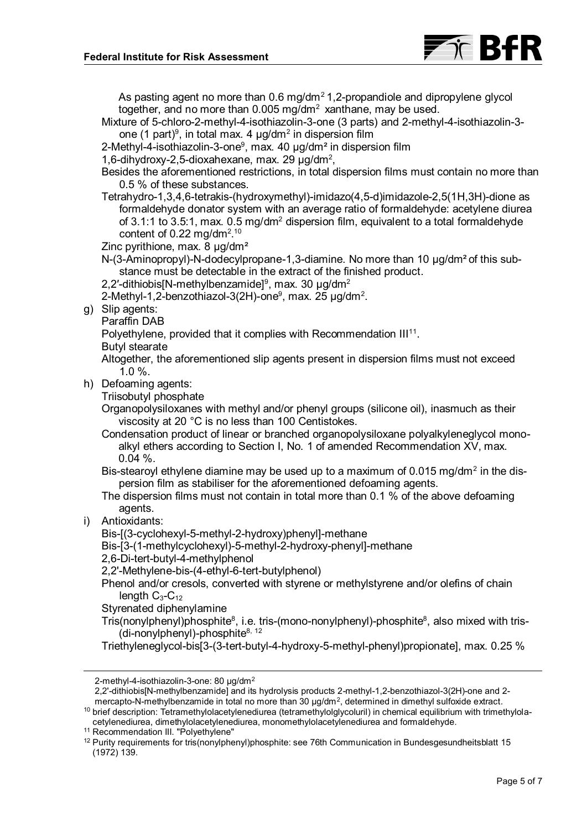

As pasting agent no more than  $0.6$  mg/dm<sup>2</sup>1,2-propandiole and dipropylene glycol together, and no more than  $0.005$  mg/dm<sup>2</sup> xanthane, may be used.

- Mixture of 5-chloro-2-methyl-4-isothiazolin-3-one (3 parts) and 2-methyl-4-isothiazolin-3 one (1 part) $^{\circ}$ [,](#page-3-0) in total max. 4  $\mu$ g/dm $^{\circ}$  in dispersion film
- 2-Methyl-4-isothiazolin-3-one<sup>9</sup>[,](#page-3-0) max. 40 µg/dm<sup>2</sup> in dispersion film
- 1,6-dihydroxy-2,5-dioxahexane, max. 29  $\mu$ g/dm<sup>2</sup>,
- Besides the aforementioned restrictions, in total dispersion films must contain no more than 0.5 % of these substances.
- Tetrahydro-1,3,4,6-tetrakis-(hydroxymethyl)-imidazo(4,5-d)imidazole-2,5(1H,3H)-dione as formaldehyde donator system with an average ratio of formaldehyde: acetylene diurea of 3.1:1 to 3.5:1, max.  $0.5 \,\text{mg/dm}^2$  dispersion film, equivalent to a total formaldehyde content of 0.22 mg/dm<sup>2.10</sup>
- Zinc pyrithione, max. 8 µg/dm<sup>2</sup>
- N-(3-Aminopropyl)-N-dodecylpropane-1,3-diamine. No more than 10 μg/dm² of this substance must be detectable in the extract of the finished product.
- 2,2′-dithiobis[N-methylbenzamide] $^{\rm 9}$  $^{\rm 9}$  $^{\rm 9}$ , max. 30 µg/dm $^{\rm 2}$
- 2-Methyl-1[,](#page-3-0)2-benzothiazol-3(2H)-one<sup>9</sup>, max. 25 µg/dm<sup>2</sup>.
- g) Slip agents:
	- Paraffin DAB

Polyethylene, provided that it complies with Recommendation  $III<sup>11</sup>$ .

- Butyl stearate
- Altogether, the aforementioned slip agents present in dispersion films must not exceed 1.0 %.
- h) Defoaming agents:
	- Triisobutyl phosphate

Organopolysiloxanes with methyl and/or phenyl groups (silicone oil), inasmuch as their viscosity at 20 °C is no less than 100 Centistokes.

- Condensation product of linear or branched organopolysiloxane polyalkyleneglycol monoalkyl ethers according to Section I, No. 1 of amended Recommendation XV, max. 0.04 %.
- Bis-stearoyl ethylene diamine may be used up to a maximum of 0.015 mg/dm $^{\rm 2}$  in the dispersion film as stabiliser for the aforementioned defoaming agents.
- The dispersion films must not contain in total more than 0.1 % of the above defoaming agents.
- i) Antioxidants:

 $\overline{a}$ 

Bis-[(3-cyclohexyl-5-methyl-2-hydroxy)phenyl]-methane

- Bis-[3-(1-methylcyclohexyl)-5-methyl-2-hydroxy-phenyl]-methane
- 2,6-Di-tert-butyl-4-methylphenol
- 2,2'-Methylene-bis-(4-ethyl-6-tert-butylphenol)
- Phenol and/or cresols, converted with styrene or methylstyrene and/or olefins of chain length  $C_3$ - $C_{12}$
- Styrenated diphenylamine
- Tris(nonylphenyl)phosphite $^8$  $^8$ [,](#page-3-1) i.e. tris-(mono-nonylphenyl)-phosphite $^8$ , also mixed with tris-(di-nonylphenyl)-phosphite $8, 12$  $8, 12$
- Triethyleneglycol-bis[3-(3-tert-butyl-4-hydroxy-5-methyl-phenyl)propionate], max. 0.25 %

<sup>2-</sup>methyl-4-isothiazolin-3-one: 80 µg/dm<sup>2</sup>

<sup>2,2&#</sup>x27;-dithiobis[N-methylbenzamide] and its hydrolysis products 2-methyl-1,2-benzothiazol-3(2H)-one and 2 mercapto-N-methylbenzamide in total no more than 30  $\mu$ g/dm<sup>2</sup>, determined in dimethyl sulfoxide extract.

 $10$  brief description: Tetramethylolacetylenediurea (tetramethylolglycoluril) in chemical equilibrium with trimethylolacetylenediurea, dimethylolacetylenediurea, monomethylolacetylenediurea and formaldehyde.

<sup>11</sup> Recommendation III. "Polyethylene"

<sup>12</sup> Purity requirements for tris(nonylphenyl)phosphite: see 76th Communication in Bundesgesundheitsblatt 15 (1972) 139.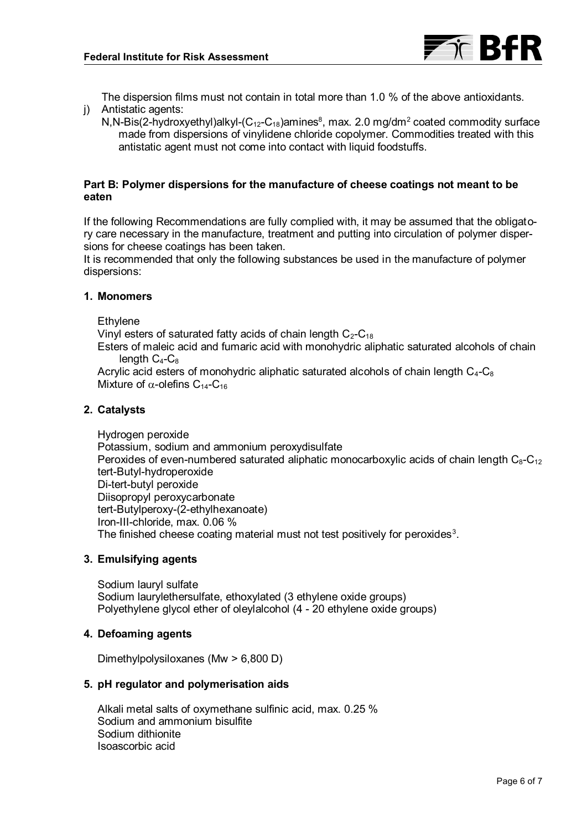

The dispersion films must not contain in total more than 1.0 % of the above antioxidants. j) Antistatic agents:

N[,](#page-3-1)N-Bis(2-hydroxyethyl)alkyl-(C<sub>12</sub>-C<sub>18</sub>)amines $^8$ , max. 2.0 mg/dm $^2$  coated commodity surface made from dispersions of vinylidene chloride copolymer. Commodities treated with this antistatic agent must not come into contact with liquid foodstuffs.

## **Part B: Polymer dispersions for the manufacture of cheese coatings not meant to be eaten**

If the following Recommendations are fully complied with, it may be assumed that the obligatory care necessary in the manufacture, treatment and putting into circulation of polymer dispersions for cheese coatings has been taken.

It is recommended that only the following substances be used in the manufacture of polymer dispersions:

#### **1. Monomers**

**Ethvlene** 

Vinyl esters of saturated fatty acids of chain length  $C_2-C_{18}$ 

Esters of maleic acid and fumaric acid with monohydric aliphatic saturated alcohols of chain length  $C_4$ - $C_8$ 

Acrylic acid esters of monohydric aliphatic saturated alcohols of chain length  $C_4$ - $C_8$ Mixture of  $\alpha$ -olefins C<sub>14</sub>-C<sub>16</sub>

## **2. Catalysts**

Hydrogen peroxide Potassium, sodium and ammonium peroxydisulfate Peroxides of even-numbered saturated aliphatic monocarboxylic acids of chain length  $C_8-C_{12}$ tert-Butyl-hydroperoxide Di-tert-butyl peroxide Diisopropyl peroxycarbonate tert-Butylperoxy-(2-ethylhexanoate) Iron-III-chloride, max. 0.06 % The finished cheese coating material must not test positively for peroxides<sup>3</sup>[.](#page-2-2)

#### **3. Emulsifying agents**

Sodium lauryl sulfate Sodium laurylethersulfate, ethoxylated (3 ethylene oxide groups) Polyethylene glycol ether of oleylalcohol (4 - 20 ethylene oxide groups)

#### **4. Defoaming agents**

Dimethylpolysiloxanes (Mw > 6,800 D)

#### **5. pH regulator and polymerisation aids**

Alkali metal salts of oxymethane sulfinic acid, max. 0.25 % Sodium and ammonium bisulfite Sodium dithionite Isoascorbic acid